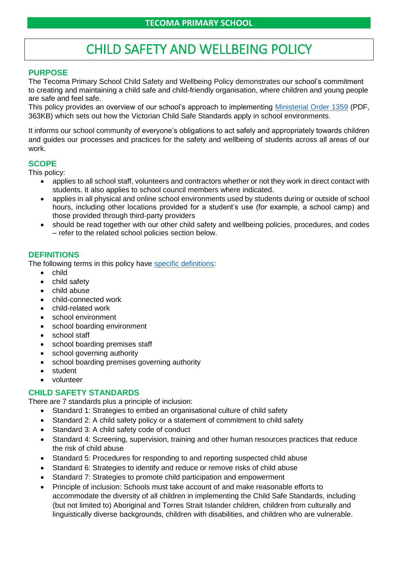# CHILD SAFETY AND WELLBEING POLICY

# **PURPOSE**

The Tecoma Primary School Child Safety and Wellbeing Policy demonstrates our school's commitment to creating and maintaining a child safe and child-friendly organisation, where children and young people are safe and feel safe.

This policy provides an overview of our school's approach to implementing [Ministerial Order 1359](https://www.education.vic.gov.au/Documents/about/programs/health/protect/Ministerial_Order.pdf) (PDF, 363KB) which sets out how the Victorian Child Safe Standards apply in school environments.

It informs our school community of everyone's obligations to act safely and appropriately towards children and guides our processes and practices for the safety and wellbeing of students across all areas of our work.

# **SCOPE**

This policy:

- applies to all school staff, volunteers and contractors whether or not they work in direct contact with students. It also applies to school council members where indicated.
- applies in all physical and online school environments used by students during or outside of school hours, including other locations provided for a student's use (for example, a school camp) and those provided through third-party providers
- should be read together with our other child safety and wellbeing policies, procedures, and codes – refer to the related school policies section below.

# **DEFINITIONS**

The following terms in this policy have [specific definitions:](https://www.vic.gov.au/child-safe-standards-definitions)

- child
- child safety
- child abuse
- child-connected work
- child-related work
- school environment
- school boarding environment
- school staff
- school boarding premises staff
- school governing authority
- school boarding premises governing authority
- student
- volunteer

# **CHILD SAFETY STANDARDS**

There are 7 standards plus a principle of inclusion:

- Standard 1: Strategies to embed an organisational culture of child safety
- Standard 2: A child safety policy or a statement of commitment to child safety
- Standard 3: A child safety code of conduct
- Standard 4: Screening, supervision, training and other human resources practices that reduce the risk of child abuse
- Standard 5: Procedures for responding to and reporting suspected child abuse
- Standard 6: Strategies to identify and reduce or remove risks of child abuse
- Standard 7: Strategies to promote child participation and empowerment
- Principle of inclusion: Schools must take account of and make reasonable efforts to accommodate the diversity of all children in implementing the Child Safe Standards, including (but not limited to) Aboriginal and Torres Strait Islander children, children from culturally and linguistically diverse backgrounds, children with disabilities, and children who are vulnerable.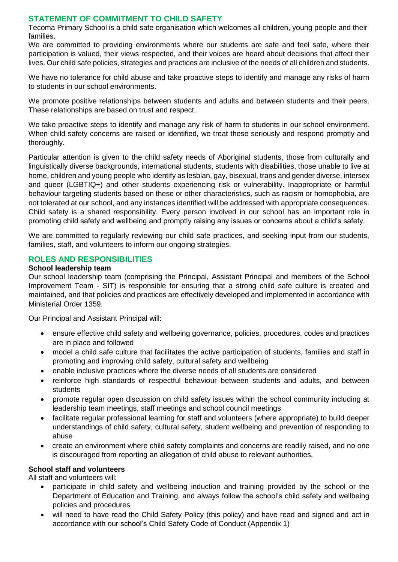# **STATEMENT OF COMMITMENT TO CHILD SAFETY**

Tecoma Primary School is a child safe organisation which welcomes all children, young people and their families.

We are committed to providing environments where our students are safe and feel safe, where their participation is valued, their views respected, and their voices are heard about decisions that affect their lives. Our child safe policies, strategies and practices are inclusive of the needs of all children and students.

We have no tolerance for child abuse and take proactive steps to identify and manage any risks of harm to students in our school environments.

We promote positive relationships between students and adults and between students and their peers. These relationships are based on trust and respect.

We take proactive steps to identify and manage any risk of harm to students in our school environment. When child safety concerns are raised or identified, we treat these seriously and respond promptly and thoroughly.

Particular attention is given to the child safety needs of Aboriginal students, those from culturally and linguistically diverse backgrounds, international students, students with disabilities, those unable to live at home, children and young people who identify as lesbian, gay, bisexual, trans and gender diverse, intersex and queer (LGBTIQ+) and other students experiencing risk or vulnerability. Inappropriate or harmful behaviour targeting students based on these or other characteristics, such as racism or homophobia, are not tolerated at our school, and any instances identified will be addressed with appropriate consequences. Child safety is a shared responsibility. Every person involved in our school has an important role in promoting child safety and wellbeing and promptly raising any issues or concerns about a child's safety.

We are committed to regularly reviewing our child safe practices, and seeking input from our students, families, staff, and volunteers to inform our ongoing strategies.

# **ROLES AND RESPONSIBILITIES**

# **School leadership team**

Our school leadership team (comprising the Principal, Assistant Principal and members of the School Improvement Team - SIT) is responsible for ensuring that a strong child safe culture is created and maintained, and that policies and practices are effectively developed and implemented in accordance with Ministerial Order 1359.

Our Principal and Assistant Principal will:

- ensure effective child safety and wellbeing governance, policies, procedures, codes and practices are in place and followed
- model a child safe culture that facilitates the active participation of students, families and staff in promoting and improving child safety, cultural safety and wellbeing
- enable inclusive practices where the diverse needs of all students are considered
- reinforce high standards of respectful behaviour between students and adults, and between students
- promote regular open discussion on child safety issues within the school community including at leadership team meetings, staff meetings and school council meetings
- facilitate regular professional learning for staff and volunteers (where appropriate) to build deeper understandings of child safety, cultural safety, student wellbeing and prevention of responding to abuse
- create an environment where child safety complaints and concerns are readily raised, and no one is discouraged from reporting an allegation of child abuse to relevant authorities.

# **School staff and volunteers**

All staff and volunteers will:

- participate in child safety and wellbeing induction and training provided by the school or the Department of Education and Training, and always follow the school's child safety and wellbeing policies and procedures
- will need to have read the Child Safety Policy (this policy) and have read and signed and act in accordance with our school's Child Safety Code of Conduct (Appendix 1)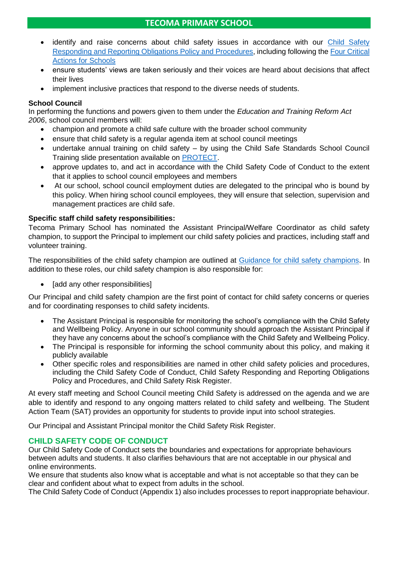- identify and raise concerns about child safety issues in accordance with our [Child Safety](Child%20Safety%20Responding%20and%20Reporting%20Obligations%20Policy%20and%20Procedures.pdf)  [Responding and Reporting Obligations Policy and Procedures,](Child%20Safety%20Responding%20and%20Reporting%20Obligations%20Policy%20and%20Procedures.pdf) including following the [Four Critical](https://www.education.vic.gov.au/school/teachers/health/childprotection/Pages/report.aspx)  [Actions for Schools](https://www.education.vic.gov.au/school/teachers/health/childprotection/Pages/report.aspx)
- ensure students' views are taken seriously and their voices are heard about decisions that affect their lives
- implement inclusive practices that respond to the diverse needs of students.

# **School Council**

In performing the functions and powers given to them under the *Education and Training Reform Act 2006*, school council members will:

- champion and promote a child safe culture with the broader school community
- ensure that child safety is a regular agenda item at school council meetings
- undertake annual training on child safety by using the Child Safe Standards School Council Training slide presentation available on [PROTECT.](https://www.education.vic.gov.au/Documents/about/programs/health/protect/school-council-training.pptx)
- approve updates to, and act in accordance with the Child Safety Code of Conduct to the extent that it applies to school council employees and members
- At our school, school council employment duties are delegated to the principal who is bound by this policy. When hiring school council employees, they will ensure that selection, supervision and management practices are child safe.

# **Specific staff child safety responsibilities:**

Tecoma Primary School has nominated the Assistant Principal/Welfare Coordinator as child safety champion, to support the Principal to implement our child safety policies and practices, including staff and volunteer training.

The responsibilities of the child safety champion are outlined at [Guidance for child safety champions.](https://www.vic.gov.au/guidance-child-safety-champions) In addition to these roles, our child safety champion is also responsible for:

• [add any other responsibilities]

Our Principal and child safety champion are the first point of contact for child safety concerns or queries and for coordinating responses to child safety incidents.

- The Assistant Principal is responsible for monitoring the school's compliance with the Child Safety and Wellbeing Policy. Anyone in our school community should approach the Assistant Principal if they have any concerns about the school's compliance with the Child Safety and Wellbeing Policy.
- The Principal is responsible for informing the school community about this policy, and making it publicly available
- Other specific roles and responsibilities are named in other child safety policies and procedures, including the Child Safety Code of Conduct, Child Safety Responding and Reporting Obligations Policy and Procedures, and Child Safety Risk Register.

At every staff meeting and School Council meeting Child Safety is addressed on the agenda and we are able to identify and respond to any ongoing matters related to child safety and wellbeing. The Student Action Team (SAT) provides an opportunity for students to provide input into school strategies.

Our Principal and Assistant Principal monitor the Child Safety Risk Register.

# **CHILD SAFETY CODE OF CONDUCT**

Our Child Safety Code of Conduct sets the boundaries and expectations for appropriate behaviours between adults and students. It also clarifies behaviours that are not acceptable in our physical and online environments.

We ensure that students also know what is acceptable and what is not acceptable so that they can be clear and confident about what to expect from adults in the school.

The Child Safety Code of Conduct (Appendix 1) also includes processes to report inappropriate behaviour.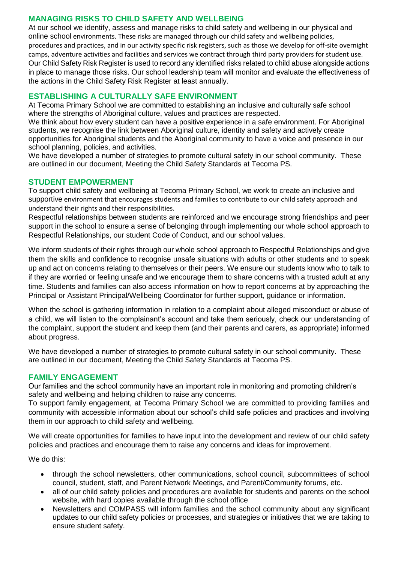# **MANAGING RISKS TO CHILD SAFETY AND WELLBEING**

At our school we identify, assess and manage risks to child safety and wellbeing in our physical and online school environments. These risks are managed through our child safety and wellbeing policies, procedures and practices, and in our activity specific risk registers, such as those we develop for off-site overnight camps, adventure activities and facilities and services we contract through third party providers for student use. Our Child Safety Risk Register is used to record any identified risks related to child abuse alongside actions in place to manage those risks. Our school leadership team will monitor and evaluate the effectiveness of the actions in the Child Safety Risk Register at least annually.

# **ESTABLISHING A CULTURALLY SAFE ENVIRONMENT**

At Tecoma Primary School we are committed to establishing an inclusive and culturally safe school where the strengths of Aboriginal culture, values and practices are respected.

We think about how every student can have a positive experience in a safe environment. For Aboriginal students, we recognise the link between Aboriginal culture, identity and safety and actively create opportunities for Aboriginal students and the Aboriginal community to have a voice and presence in our school planning, policies, and activities.

We have developed a number of strategies to promote cultural safety in our school community. These are outlined in our document, Meeting the Child Safety Standards at Tecoma PS.

# **STUDENT EMPOWERMENT**

To support child safety and wellbeing at Tecoma Primary School, we work to create an inclusive and supportive environment that encourages students and families to contribute to our child safety approach and understand their rights and their responsibilities.

Respectful relationships between students are reinforced and we encourage strong friendships and peer support in the school to ensure a sense of belonging through implementing our whole school approach to Respectful Relationships, our student Code of Conduct, and our school values.

We inform students of their rights through our whole school approach to Respectful Relationships and give them the skills and confidence to recognise unsafe situations with adults or other students and to speak up and act on concerns relating to themselves or their peers. We ensure our students know who to talk to if they are worried or feeling unsafe and we encourage them to share concerns with a trusted adult at any time. Students and families can also access information on how to report concerns at by approaching the Principal or Assistant Principal/Wellbeing Coordinator for further support, guidance or information.

When the school is gathering information in relation to a complaint about alleged misconduct or abuse of a child, we will listen to the complainant's account and take them seriously, check our understanding of the complaint, support the student and keep them (and their parents and carers, as appropriate) informed about progress.

We have developed a number of strategies to promote cultural safety in our school community. These are outlined in our document, Meeting the Child Safety Standards at Tecoma PS.

# **FAMILY ENGAGEMENT**

Our families and the school community have an important role in monitoring and promoting children's safety and wellbeing and helping children to raise any concerns.

To support family engagement, at Tecoma Primary School we are committed to providing families and community with accessible information about our school's child safe policies and practices and involving them in our approach to child safety and wellbeing.

We will create opportunities for families to have input into the development and review of our child safety policies and practices and encourage them to raise any concerns and ideas for improvement.

We do this:

- through the school newsletters, other communications, school council, subcommittees of school council, student, staff, and Parent Network Meetings, and Parent/Community forums, etc.
- all of our child safety policies and procedures are available for students and parents on the school website, with hard copies available through the school office
- Newsletters and COMPASS will inform families and the school community about any significant updates to our child safety policies or processes, and strategies or initiatives that we are taking to ensure student safety.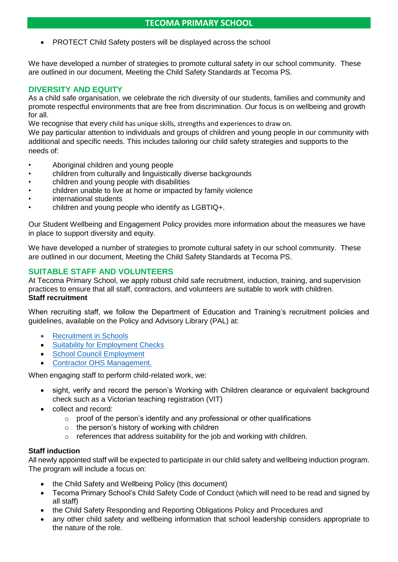• PROTECT Child Safety posters will be displayed across the school

We have developed a number of strategies to promote cultural safety in our school community. These are outlined in our document, Meeting the Child Safety Standards at Tecoma PS.

# **DIVERSITY AND EQUITY**

As a child safe organisation, we celebrate the rich diversity of our students, families and community and promote respectful environments that are free from discrimination. Our focus is on wellbeing and growth for all.

We recognise that every child has unique skills, strengths and experiences to draw on.

We pay particular attention to individuals and groups of children and young people in our community with additional and specific needs. This includes tailoring our child safety strategies and supports to the needs of:

- Aboriginal children and young people
- children from culturally and linguistically diverse backgrounds
- children and young people with disabilities
- children unable to live at home or impacted by family violence
- international students
- children and young people who identify as LGBTIQ+.

Our Student Wellbeing and Engagement Policy provides more information about the measures we have in place to support diversity and equity.

We have developed a number of strategies to promote cultural safety in our school community. These are outlined in our document, Meeting the Child Safety Standards at Tecoma PS.

# **SUITABLE STAFF AND VOLUNTEERS**

At Tecoma Primary School, we apply robust child safe recruitment, induction, training, and supervision practices to ensure that all staff, contractors, and volunteers are suitable to work with children. **Staff recruitment**

When recruiting staff, we follow the Department of Education and Training's recruitment policies and guidelines, available on the Policy and Advisory Library (PAL) at:

- [Recruitment in Schools](https://www2.education.vic.gov.au/pal/recruitment-schools/overview)
- **[Suitability for Employment Checks](https://www2.education.vic.gov.au/pal/suitability-employment-checks/overview)**
- [School Council Employment](https://www2.education.vic.gov.au/pal/school-council-employment/overview)
- Contractor [OHS Management.](https://www2.education.vic.gov.au/pal/contractor-ohs-management/policy)

When engaging staff to perform child-related work, we:

- sight, verify and record the person's Working with Children clearance or equivalent background check such as a Victorian teaching registration (VIT)
- collect and record:
	- o proof of the person's identity and any professional or other qualifications
	- $\circ$  the person's history of working with children
	- o references that address suitability for the job and working with children.

# **Staff induction**

All newly appointed staff will be expected to participate in our child safety and wellbeing induction program. The program will include a focus on:

- the Child Safety and Wellbeing Policy (this document)
- Tecoma Primary School's Child Safety Code of Conduct (which will need to be read and signed by all staff)
- the Child Safety Responding and Reporting Obligations Policy and Procedures and
- any other child safety and wellbeing information that school leadership considers appropriate to the nature of the role.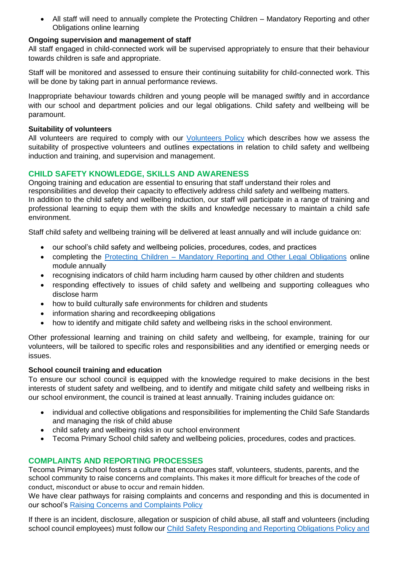• All staff will need to annually complete the Protecting Children – Mandatory Reporting and other Obligations online learning

# **Ongoing supervision and management of staff**

All staff engaged in child-connected work will be supervised appropriately to ensure that their behaviour towards children is safe and appropriate.

Staff will be monitored and assessed to ensure their continuing suitability for child-connected work. This will be done by taking part in annual performance reviews.

Inappropriate behaviour towards children and young people will be managed swiftly and in accordance with our school and department policies and our legal obligations. Child safety and wellbeing will be paramount.

#### **Suitability of volunteers**

All volunteers are required to comply with our [Volunteers Policy](../Volunteers%20Policy.pdf) which describes how we assess the suitability of prospective volunteers and outlines expectations in relation to child safety and wellbeing induction and training, and supervision and management.

# **CHILD SAFETY KNOWLEDGE, SKILLS AND AWARENESS**

Ongoing training and education are essential to ensuring that staff understand their roles and responsibilities and develop their capacity to effectively address child safety and wellbeing matters. In addition to the child safety and wellbeing induction, our staff will participate in a range of training and professional learning to equip them with the skills and knowledge necessary to maintain a child safe environment.

Staff child safety and wellbeing training will be delivered at least annually and will include guidance on:

- our school's child safety and wellbeing policies, procedures, codes, and practices
- completing the Protecting Children [Mandatory Reporting and Other Legal Obligations](http://elearn.com.au/det/protectingchildren/) online module annually
- recognising indicators of child harm including harm caused by other children and students
- responding effectively to issues of child safety and wellbeing and supporting colleagues who disclose harm
- how to build culturally safe environments for children and students
- information sharing and recordkeeping obligations
- how to identify and mitigate child safety and wellbeing risks in the school environment.

Other professional learning and training on child safety and wellbeing, for example, training for our volunteers, will be tailored to specific roles and responsibilities and any identified or emerging needs or issues.

# **School council training and education**

To ensure our school council is equipped with the knowledge required to make decisions in the best interests of student safety and wellbeing, and to identify and mitigate child safety and wellbeing risks in our school environment, the council is trained at least annually. Training includes guidance on:

- individual and collective obligations and responsibilities for implementing the Child Safe Standards and managing the risk of child abuse
- child safety and wellbeing risks in our school environment
- Tecoma Primary School child safety and wellbeing policies, procedures, codes and practices.

# **COMPLAINTS AND REPORTING PROCESSES**

Tecoma Primary School fosters a culture that encourages staff, volunteers, students, parents, and the school community to raise concerns and complaints. This makes it more difficult for breaches of the code of conduct, misconduct or abuse to occur and remain hidden.

We have clear pathways for raising complaints and concerns and responding and this is documented in our school's [Raising Concerns and Complaints Policy](../Raising%20Concerns%20and%20Complaints%20Policy/Raising%20Concerns%20or%20Complaints%20Policy.pdf)

If there is an incident, disclosure, allegation or suspicion of child abuse, all staff and volunteers (including school council employees) must follow our Child Safety Responding and Reporting Obligations Policy and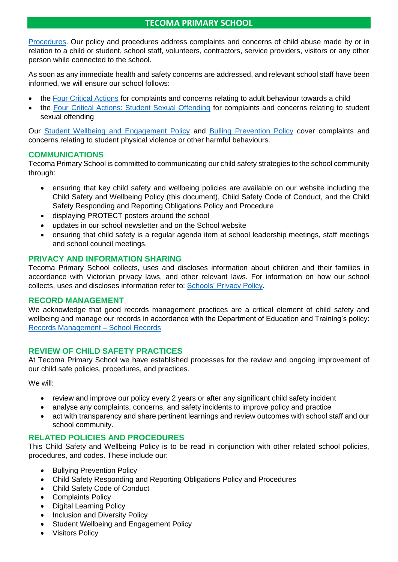[Procedures.](Child%20Safety%20Responding%20and%20Reporting%20Obligations%20Policy%20and%20Procedures.pdf) Our policy and procedures address complaints and concerns of child abuse made by or in relation to a child or student, school staff, volunteers, contractors, service providers, visitors or any other person while connected to the school.

As soon as any immediate health and safety concerns are addressed, and relevant school staff have been informed, we will ensure our school follows:

- the [Four Critical Actions](https://www.education.vic.gov.au/Documents/about/programs/health/protect/FourCriticalActions_ChildAbuse.pdf) for complaints and concerns relating to adult behaviour towards a child
- the [Four Critical Actions: Student Sexual Offending](https://www.education.vic.gov.au/school/teachers/health/childprotection/Pages/stusexual.aspx) for complaints and concerns relating to student sexual offending

Our [Student Wellbeing and Engagement Policy](../Student%20Wellbeing%20and%20Engagement%20Policy.pdf) and [Bulling Prevention Policy](../Bullying%20Prevention%20Policy.pdf) cover complaints and concerns relating to student physical violence or other harmful behaviours.

# **COMMUNICATIONS**

Tecoma Primary School is committed to communicating our child safety strategies to the school community through:

- ensuring that key child safety and wellbeing policies are available on our website including the Child Safety and Wellbeing Policy (this document), Child Safety Code of Conduct, and the Child Safety Responding and Reporting Obligations Policy and Procedure
- displaying PROTECT posters around the school
- updates in our school newsletter and on the School website
- ensuring that child safety is a regular agenda item at school leadership meetings, staff meetings and school council meetings.

# **PRIVACY AND INFORMATION SHARING**

Tecoma Primary School collects, uses and discloses information about children and their families in accordance with Victorian privacy laws, and other relevant laws. For information on how our school collects, uses and discloses information refer to: [Schools' Privacy Policy.](https://www.education.vic.gov.au/Pages/schoolsprivacypolicy.aspx)

# **RECORD MANAGEMENT**

We acknowledge that good records management practices are a critical element of child safety and wellbeing and manage our records in accordance with the Department of Education and Training's policy: [Records Management –](https://www2.education.vic.gov.au/pal/records-management/policy) School Records

# **REVIEW OF CHILD SAFETY PRACTICES**

At Tecoma Primary School we have established processes for the review and ongoing improvement of our child safe policies, procedures, and practices.

We will:

- review and improve our policy every 2 years or after any significant child safety incident
- analyse any complaints, concerns, and safety incidents to improve policy and practice
- act with transparency and share pertinent learnings and review outcomes with school staff and our school community.

# **RELATED POLICIES AND PROCEDURES**

This Child Safety and Wellbeing Policy is to be read in conjunction with other related school policies, procedures, and codes. These include our:

- Bullying Prevention Policy
- Child Safety Responding and Reporting Obligations Policy and Procedures
- Child Safety Code of Conduct
- Complaints Policy
- Digital Learning Policy
- Inclusion and Diversity Policy
- Student Wellbeing and Engagement Policy
- Visitors Policy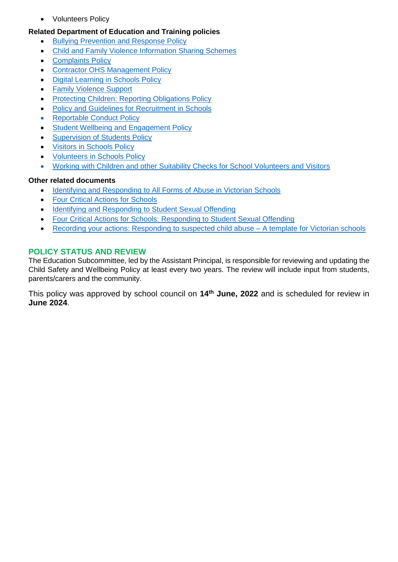• Volunteers Policy

# **Related Department of Education and Training policies**

- [Bullying Prevention and Response Policy](https://www2.education.vic.gov.au/pal/bullying-prevention-response/policy)
- [Child and Family Violence Information Sharing Schemes](https://www2.education.vic.gov.au/pal/information-sharing-schemes/policy)
- **[Complaints Policy](https://www2.education.vic.gov.au/pal/complaints/policy)**
- [Contractor OHS Management Policy](https://www2.education.vic.gov.au/pal/contractor-ohs-management/policy)
- [Digital Learning in Schools Policy](https://www2.education.vic.gov.au/pal/digital-learning/policy)
- [Family Violence Support](https://www2.education.vic.gov.au/pal/family-violence-support/policy)
- [Protecting Children: Reporting Obligations Policy](https://www2.education.vic.gov.au/pal/protecting-children/policy)
- [Policy and Guidelines for Recruitment in Schools](https://www2.education.vic.gov.au/pal/recruitment-schools/policy-and-guidelines)
- [Reportable Conduct Policy](https://www2.education.vic.gov.au/pal/reportable-conduct-scheme/policy)
- **[Student Wellbeing and Engagement Policy](https://www2.education.vic.gov.au/pal/student-engagement/policy)**
- [Supervision of Students Policy](https://www2.education.vic.gov.au/pal/supervision-students/policy)
- [Visitors in Schools Policy](https://www2.education.vic.gov.au/pal/visitors/policy)
- [Volunteers in Schools Policy](https://www2.education.vic.gov.au/pal/volunteers/policy)
- [Working with Children and other Suitability Checks for School Volunteers and Visitors](https://www2.education.vic.gov.au/pal/suitability-checks/policy)

# **Other related documents**

- [Identifying and Responding to All Forms of Abuse in Victorian Schools](https://www.education.vic.gov.au/Documents/about/programs/health/protect/ChildSafeStandard5_SchoolsGuide.pdf)
- [Four Critical Actions for Schools](https://www.education.vic.gov.au/Documents/about/programs/health/protect/FourCriticalActions_ChildAbuse.pdf)
- [Identifying and Responding to Student Sexual Offending](https://www.education.vic.gov.au/Documents/about/programs/health/protect/SSO_Policy.pdf)
- [Four Critical Actions for Schools: Responding to Student Sexual Offending](https://www.education.vic.gov.au/Documents/about/programs/health/protect/FourCriticalActions_SSO.pdf)
- [Recording your actions: Responding to suspected child abuse –](https://www.education.vic.gov.au/Documents/about/programs/health/protect/PROTECT_Schoolstemplate.pdf) A template for Victorian schools

# **POLICY STATUS AND REVIEW**

The Education Subcommittee, led by the Assistant Principal, is responsible for reviewing and updating the Child Safety and Wellbeing Policy at least every two years. The review will include input from students, parents/carers and the community.

This policy was approved by school council on **14th June, 2022** and is scheduled for review in **June 2024**.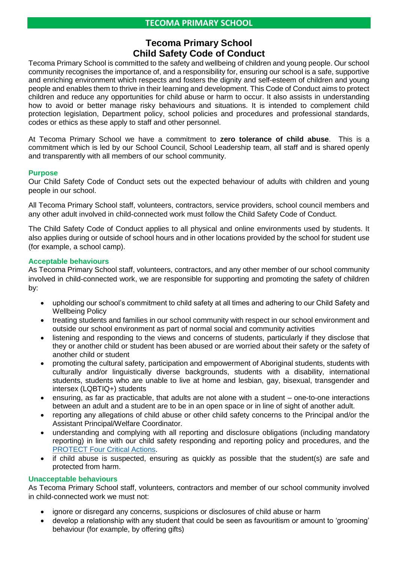# **Tecoma Primary School Child Safety Code of Conduct**

Tecoma Primary School is committed to the safety and wellbeing of children and young people. Our school community recognises the importance of, and a responsibility for, ensuring our school is a safe, supportive and enriching environment which respects and fosters the dignity and self-esteem of children and young people and enables them to thrive in their learning and development. This Code of Conduct aims to protect children and reduce any opportunities for child abuse or harm to occur. It also assists in understanding how to avoid or better manage risky behaviours and situations. It is intended to complement child protection legislation, Department policy, school policies and procedures and professional standards, codes or ethics as these apply to staff and other personnel.

At Tecoma Primary School we have a commitment to **zero tolerance of child abuse**. This is a commitment which is led by our School Council, School Leadership team, all staff and is shared openly and transparently with all members of our school community.

#### **Purpose**

Our Child Safety Code of Conduct sets out the expected behaviour of adults with children and young people in our school.

All Tecoma Primary School staff, volunteers, contractors, service providers, school council members and any other adult involved in child-connected work must follow the Child Safety Code of Conduct.

The Child Safety Code of Conduct applies to all physical and online environments used by students. It also applies during or outside of school hours and in other locations provided by the school for student use (for example, a school camp).

#### **Acceptable behaviours**

As Tecoma Primary School staff, volunteers, contractors, and any other member of our school community involved in child-connected work, we are responsible for supporting and promoting the safety of children by:

- upholding our school's commitment to child safety at all times and adhering to our Child Safety and Wellbeing Policy
- treating students and families in our school community with respect in our school environment and outside our school environment as part of normal social and community activities
- listening and responding to the views and concerns of students, particularly if they disclose that they or another child or student has been abused or are worried about their safety or the safety of another child or student
- promoting the cultural safety, participation and empowerment of Aboriginal students, students with culturally and/or linguistically diverse backgrounds, students with a disability, international students, students who are unable to live at home and lesbian, gay, bisexual, transgender and intersex (LQBTIQ+) students
- ensuring, as far as practicable, that adults are not alone with a student one-to-one interactions between an adult and a student are to be in an open space or in line of sight of another adult.
- reporting any allegations of child abuse or other child safety concerns to the Principal and/or the Assistant Principal/Welfare Coordinator.
- understanding and complying with all reporting and disclosure obligations (including mandatory reporting) in line with our child safety responding and reporting policy and procedures, and the [PROTECT Four Critical Actions.](https://www.education.vic.gov.au/Documents/about/programs/health/protect/FourCriticalActions_ChildAbuse.pdf)
- if child abuse is suspected, ensuring as quickly as possible that the student(s) are safe and protected from harm.

# **Unacceptable behaviours**

As Tecoma Primary School staff, volunteers, contractors and member of our school community involved in child-connected work we must not:

- ignore or disregard any concerns, suspicions or disclosures of child abuse or harm
- develop a relationship with any student that could be seen as favouritism or amount to 'grooming' behaviour (for example, by offering gifts)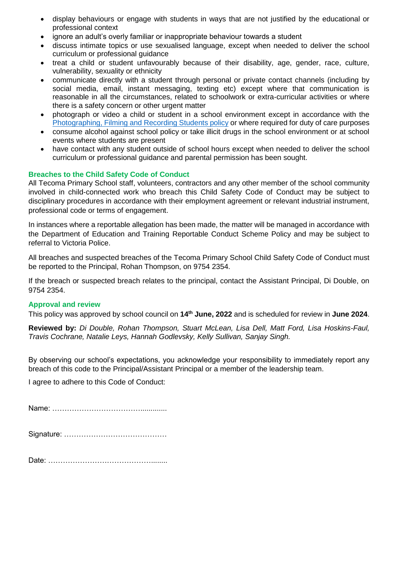- display behaviours or engage with students in ways that are not justified by the educational or professional context
- ignore an adult's overly familiar or inappropriate behaviour towards a student
- discuss intimate topics or use sexualised language, except when needed to deliver the school curriculum or professional guidance
- treat a child or student unfavourably because of their disability, age, gender, race, culture, vulnerability, sexuality or ethnicity
- communicate directly with a student through personal or private contact channels (including by social media, email, instant messaging, texting etc) except where that communication is reasonable in all the circumstances, related to schoolwork or extra-curricular activities or where there is a safety concern or other urgent matter
- photograph or video a child or student in a school environment except in accordance with the [Photographing, Filming and](https://www2.education.vic.gov.au/pal/photographing-students/policy) Recording Students policy or where required for duty of care purposes
- consume alcohol against school policy or take illicit drugs in the school environment or at school events where students are present
- have contact with any student outside of school hours except when needed to deliver the school curriculum or professional guidance and parental permission has been sought.

# **Breaches to the Child Safety Code of Conduct**

All Tecoma Primary School staff, volunteers, contractors and any other member of the school community involved in child-connected work who breach this Child Safety Code of Conduct may be subject to disciplinary procedures in accordance with their employment agreement or relevant industrial instrument, professional code or terms of engagement.

In instances where a reportable allegation has been made, the matter will be managed in accordance with the Department of Education and Training Reportable Conduct Scheme Policy and may be subject to referral to Victoria Police.

All breaches and suspected breaches of the Tecoma Primary School Child Safety Code of Conduct must be reported to the Principal, Rohan Thompson, on 9754 2354.

If the breach or suspected breach relates to the principal, contact the Assistant Principal, Di Double, on 9754 2354.

# **Approval and review**

This policy was approved by school council on **14th June, 2022** and is scheduled for review in **June 2024**.

**Reviewed by:** *Di Double, Rohan Thompson, Stuart McLean, Lisa Dell, Matt Ford, Lisa Hoskins-Faul, Travis Cochrane, Natalie Leys, Hannah Godlevsky, Kelly Sullivan, Sanjay Singh.*

By observing our school's expectations, you acknowledge your responsibility to immediately report any breach of this code to the Principal/Assistant Principal or a member of the leadership team.

I agree to adhere to this Code of Conduct:

Name: ……………………………….............

Signature: ……………………………………

Date: ……………………………………........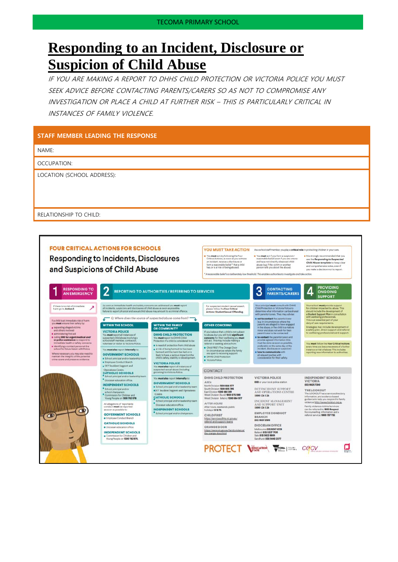# **Responding to an Incident, Disclosure or Suspicion of Child Abuse**

IF YOU ARE MAKING A REPORT TO DHHS CHILD PROTECTION OR VICTORIA POLICE YOU MUST SEEK ADVICE BEFORE CONTACTING PARENTS/CARERS SO AS NOT TO COMPROMISE ANY INVESTIGATION OR PLACE A CHILD AT FURTHER RISK – THIS IS PARTICULARLY CRITICAL IN INSTANCES OF FAMILY VIOLENCE.

#### **STAFF MEMBER LEADING THE RESPONSE** NAME: OCCUPATION: LOCATION (SCHOOL ADDRESS): RELATIONSHIP TO CHILD:**FOUR CRITICAL ACTIONS FOR SCHOOLS** YOU MUST TAKE ACTION As a school staff member, you play a critical role in protecting children in your care. **n** You **must** act if you form a suspicion/<br>masonable belief even if you are unsure<br>and have not disactly observed child<br>abuse (ag, if the victim or another<br>parson tells you about the abuse). **n** it is strongly recommended that you<br>use the Responding to Suspected<br>Child Abuse template to keep clea<br>and comprehensive notes, even if Vou must act, by following the Four<br>Critical Actions, as soon as you witness **Responding to Incidents, Disclosures** Limical Actions, as soon as you withest<br>an incident, receive a disclosure or<br>form a reasonable belief that a child<br>hea, or is at risk of being abused. and Suspicions of Child Abuse ana comprenensee noos, even in<br>vou make a decision not to recort **4** PROVIDING<br>SUPPORT **RESPONDING TO<br>AN EMERGENCY**  $\overline{2}$ 3 CONTACTING **REPORTING TO AUTHORITIES / REFERRING TO SERVICES** Your school must provide support<br>for children impacted by abuse. This<br>should include the development of<br>a student support Plan in consultation<br>with wellbeing professionals.<br>This is an essential part of your<br>duty of care re As soon as immediate health and safety concerns are addressed you must<br>all incidents, suspicions and disclosures of child abuse as soon as possible<br>Failure to report physical and sexual child abuse may amount to a criminal Your principal must consult with DHHS<br>Child Protection or Victoria Police to<br>determine what information can be shared<br>with parents/carers. They may advise: For suspected student sexual assault,<br>please follow the Four Critical<br>Actions: Student Sexual Offending. If there is no risk of immediate<br>harm go to Action 2.  $\overline{\phantom{a}}$ with parents/cances. They may advise.<br>  $\mathbf{m}$  and to contact the parents/cancer (e.g. in circumstances where the parents are alleged to have engaged minor and share a minor and does not wish for their parents contacted. Q: Where does the source of suspected abuse come from? If a child is at immadiate risk of harm<br>you must ensure their safety by: WITHIN THE SCHOOL **WITHIN THE FAMILY<br>OR COMMUNITY OTHER CONCERNS** you meat winning along the string<br>and others level of the string and others level of<br>an administering first aid<br>as caling 000 for ungest medical and/<br>are police assistance to respond to<br>prematiana health or safety concerns Strategies may include development<br>Strategies may include development<br>to wellbeing professionals and supp If you believe that a child is not subject of a<br>busines, but you still hold significant concerns for their wellbeing you must<br>like to their wellbeing you must **VICTORIA POLICE**<br>You must report all instances of **DHHS CHILD PROTECTION**<br>You must report to DHHS Child<br>Protection if a child is considered to be paramtics<br>are to be contacted)  $\begin{tabular}{l} \textbf{to} \textbf{on} \textbf{co} \textbf{on} \textbf{on} \textbf{on} \textbf{on} \textbf{on} \textbf{on} \textbf{on} \textbf{on} \textbf{on} \textbf{on} \textbf{on} \textbf{on} \textbf{on} \textbf{on} \textbf{on} \textbf{on} \textbf{on} \textbf{on} \textbf{on} \textbf{on} \textbf{on} \textbf{on} \textbf{on} \textbf{on} \textbf{on} \textbf{on} \textbf{on} \$ You **must** report all instances of<br>suspected child abuse involving a<br>school staff member, contractor,<br>volunteer or visitor to Victoria Police. concerns for that invelloring you must<br>assign a state in the space of the state of the state of the state of<br>a construction of the state of the state of the state of the construction<br>of the constrained of the state of the You must follow the Four Critical Action<br>every time you become aware of a furt<br>instance or risk of abuse. This includes<br>reporting new information to authoritie Procedure a most of protection from child abuse<br>
■ it risk of being harmed (or has been<br>
■ it risk of being harmed (or has been<br>
harmed) and the harm has had, or is<br>
thid's safety, a sensus impact on the<br>
child's safety, inmediate nearth or service concern<br>is identifying a contact person at the<br>school for future laison with Police You must also report internally to: GOVERNMENT SCHOOLS Where necessary you may also need to<br>maintain the integrity of the potential **VICTORIA POLICE**<br>You **must also** report all instances of<br>suspected sexual abuse (including<br>grooming) to Victoria Police. Employee Conduct Bran<br>| DET Incident Support a CONTACT Operations Centre.<br>CATHOLIC SCHOOLS You must also report internally t DHHS CHILD PROTECTION **VICTORIA POLICE INDEPENDENT SCHOOLS**  $5000$ VICTORIA **GOVERNMENT SCHOOLS INDEPENDENT SCHOOLS** *REA<br>iorth Division <b>1300 664 977<br>outh Division 1300 665 795<br>aat Division 1300 360 391<br>Vast Division (Rural) 1800 075 599* (03) 9825 7200 (03) 9828 720 0<br>The LIDOWOUT has service directory,<br>infraerable, and evidence galaxies to help you respond to family<br>guidance to help you respond to family<br>violence withing has responded to the family violence victimar<br>har School precipal and/or leadership tear<br>CET Incident Support and Operations DET INCIDENT SUPPORT<br>AND OPERATIONS CENTRE<br>1800 126 126 **E** School principal and/or<br>achool chairparson<br>**E** Commission for Children and<br>Young People on **1300 782 978**. East Division Centre<br>CATHOLIC SCHOOLS West Division (Metro) 1300 664 977 INCIDENT MANAGEMENT<br>AND SUPPORT UNIT<br>1800 126 126 **AFTER HOURS** All allegations of 'reportable<br>conduct' must be reported<br>as soon as possible to: Ar rex HOUna<br>Afterhours, weekends, public<br>holidays **13 12 76**. **INDEPENDENT SCHOOLS**<br> **■** School principal and/or chargers  $\bullet$ EMPLOYEE CONDUCT GOVERNMENT SCHOOLS  $\bullet$ CHILD FIRST BRANCH<br>(03) 9637 2595 https://sarvicus.dhhs.vic.gov.su/<br>referral-and-support-teams CATHOLIC SCHOOLS DIOCESAN OFFICE **ORANGE DOOR** Melbourne (03) 9267 0228<br>Ilaliaret (03) 9267 0228<br>Salo (03) 5622 6600<br>Sandhurst (03) 5443 2377 au/familyviolence/ https://www.vic.eov.a **INDEPENDENT SCHOOLS** Commission for Children and<br>Young Pacple on 1300 782 978. M **PROTECT VERGATION WORK | SOFTLEW COCULTY** α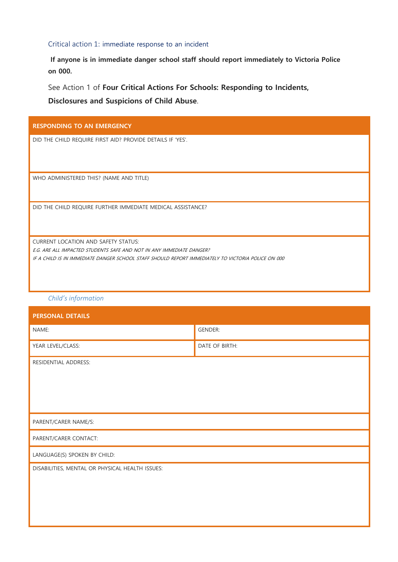#### Critical action 1: immediate response to an incident

**If anyone is in immediate danger school staff should report immediately to Victoria Police on 000.** 

See Action 1 of **Four Critical Actions For Schools: Responding to Incidents, Disclosures and Suspicions of Child Abuse**.

| <b>RESPONDING TO AN EMERGENCY</b>                                                                  |
|----------------------------------------------------------------------------------------------------|
| DID THE CHILD REQUIRE FIRST AID? PROVIDE DETAILS IF 'YES'.                                         |
|                                                                                                    |
| WHO ADMINISTERED THIS? (NAME AND TITLE)                                                            |
|                                                                                                    |
| DID THE CHILD REQUIRE FURTHER IMMEDIATE MEDICAL ASSISTANCE?                                        |
|                                                                                                    |
| <b>CURRENT LOCATION AND SAFETY STATUS:</b>                                                         |
| E.G. ARE ALL IMPACTED STUDENTS SAFE AND NOT IN ANY IMMEDIATE DANGER?                               |
| IF A CHILD IS IN IMMEDIATE DANGER SCHOOL STAFF SHOULD REPORT IMMEDIATELY TO VICTORIA POLICE ON 000 |
|                                                                                                    |
|                                                                                                    |

#### *Child's information*

| <b>PERSONAL DETAILS</b>                         |                |  |
|-------------------------------------------------|----------------|--|
| NAME:                                           | <b>GENDER:</b> |  |
| YEAR LEVEL/CLASS:                               | DATE OF BIRTH: |  |
| RESIDENTIAL ADDRESS:                            |                |  |
| PARENT/CARER NAME/S:                            |                |  |
| PARENT/CARER CONTACT:                           |                |  |
| LANGUAGE(S) SPOKEN BY CHILD:                    |                |  |
| DISABILITIES, MENTAL OR PHYSICAL HEALTH ISSUES: |                |  |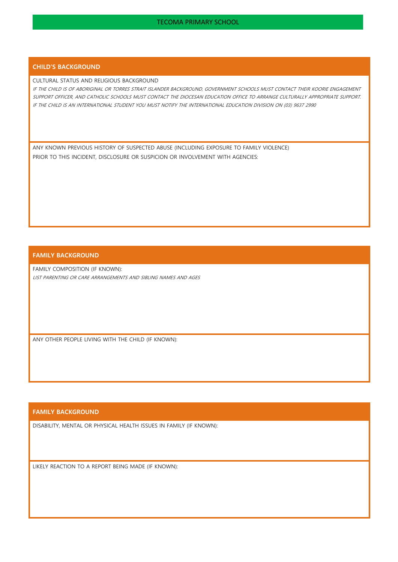#### **CHILD'S BACKGROUND**

#### CULTURAL STATUS AND RELIGIOUS BACKGROUND

IF THE CHILD IS OF ABORIGINAL OR TORRES STRAIT ISLANDER BACKGROUND, GOVERNMENT SCHOOLS MUST CONTACT THEIR KOORIE ENGAGEMENT SUPPORT OFFICER, AND CATHOLIC SCHOOLS MUST CONTACT THE DIOCESAN EDUCATION OFFICE TO ARRANGE CULTURALLY APPROPRIATE SUPPORT. IF THE CHILD IS AN INTERNATIONAL STUDENT YOU MUST NOTIFY THE INTERNATIONAL EDUCATION DIVISION ON (03) 9637 2990

ANY KNOWN PREVIOUS HISTORY OF SUSPECTED ABUSE (INCLUDING EXPOSURE TO FAMILY VIOLENCE) PRIOR TO THIS INCIDENT, DISCLOSURE OR SUSPICION OR INVOLVEMENT WITH AGENCIES:

#### **FAMILY BACKGROUND**

FAMILY COMPOSITION (IF KNOWN): LIST PARENTING OR CARE ARRANGEMENTS AND SIBLING NAMES AND AGES

ANY OTHER PEOPLE LIVING WITH THE CHILD (IF KNOWN):

#### **FAMILY BACKGROUND**

DISABILITY, MENTAL OR PHYSICAL HEALTH ISSUES IN FAMILY (IF KNOWN):

LIKELY REACTION TO A REPORT BEING MADE (IF KNOWN):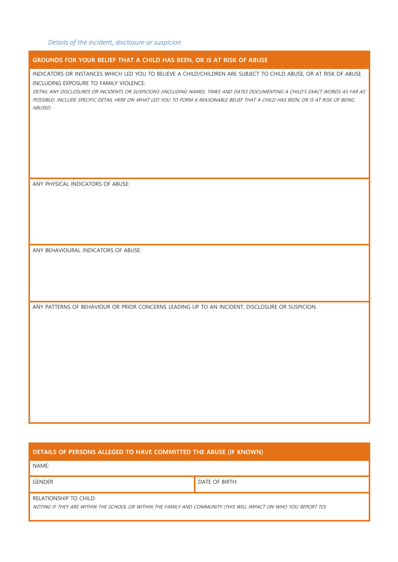| GROUNDS FOR YOUR BELIEF THAT A CHILD HAS BEEN, OR IS AT RISK OF ABUSE                                                                                                                                                                                                                                                                                                                                                                          |
|------------------------------------------------------------------------------------------------------------------------------------------------------------------------------------------------------------------------------------------------------------------------------------------------------------------------------------------------------------------------------------------------------------------------------------------------|
| INDICATORS OR INSTANCES WHICH LED YOU TO BELIEVE A CHILD/CHILDREN ARE SUBJECT TO CHILD ABUSE, OR AT RISK OF ABUSE<br>INCLUDING EXPOSURE TO FAMILY VIOLENCE:<br>DETAIL ANY DISCLOSURES OR INCIDENTS OR SUSPICIONS (INCLUDING NAMES, TIMES AND DATES DOCUMENTING A CHILD'S EXACT WORDS AS FAR AS<br>POSSIBLE). INCLUDE SPECIFIC DETAIL HERE ON WHAT LED YOU TO FORM A REASONABLE BELIEF THAT A CHILD HAS BEEN, OR IS AT RISK OF BEING<br>ABUSED. |
| ANY PHYSICAL INDICATORS OF ABUSE:                                                                                                                                                                                                                                                                                                                                                                                                              |
| ANY BEHAVIOURAL INDICATORS OF ABUSE:                                                                                                                                                                                                                                                                                                                                                                                                           |
| ANY PATTERNS OF BEHAVIOUR OR PRIOR CONCERNS LEADING UP TO AN INCIDENT, DISCLOSURE OR SUSPICION:                                                                                                                                                                                                                                                                                                                                                |

#### **DETAILS OF PERSONS ALLEGED TO HAVE COMMITTED THE ABUSE (IF KNOWN)**

NAME:

GENDER GENER DATE OF BIRTH:

RELATIONSHIP TO CHILD:

NOTING IF THEY ARE WITHIN THE SCHOOL OR WITHIN THE FAMILY AND COMMUNITY (THIS WILL IMPACT ON WHO YOU REPORT TO)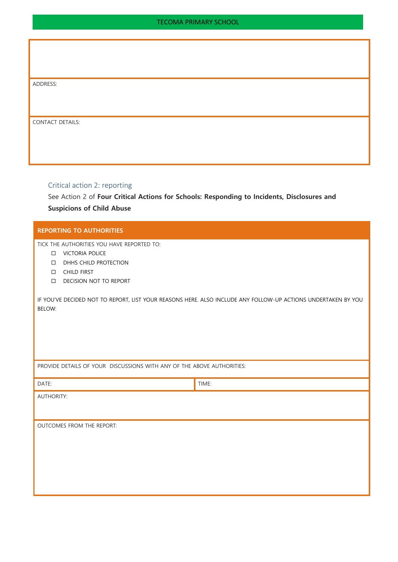| ADDRE: |  |
|--------|--|
|--------|--|

CONTACT DETAILS:

#### Critical action 2: reporting

See Action 2 of **Four Critical Actions for Schools: Responding to Incidents, Disclosures and Suspicions of Child Abuse**

#### **REPORTING TO AUTHORITIES**

TICK THE AUTHORITIES YOU HAVE REPORTED TO:

- VICTORIA POLICE
- D DHHS CHILD PROTECTION
- CHILD FIRST
- DECISION NOT TO REPORT

IF YOU'VE DECIDED NOT TO REPORT, LIST YOUR REASONS HERE. ALSO INCLUDE ANY FOLLOW-UP ACTIONS UNDERTAKEN BY YOU BELOW:

PROVIDE DETAILS OF YOUR DISCUSSIONS WITH ANY OF THE ABOVE AUTHORITIES:

| DATE:                     | TIME: |  |  |
|---------------------------|-------|--|--|
| <b>AUTHORITY:</b>         |       |  |  |
|                           |       |  |  |
| OUTCOMES FROM THE REPORT: |       |  |  |
|                           |       |  |  |
|                           |       |  |  |
|                           |       |  |  |
|                           |       |  |  |
|                           |       |  |  |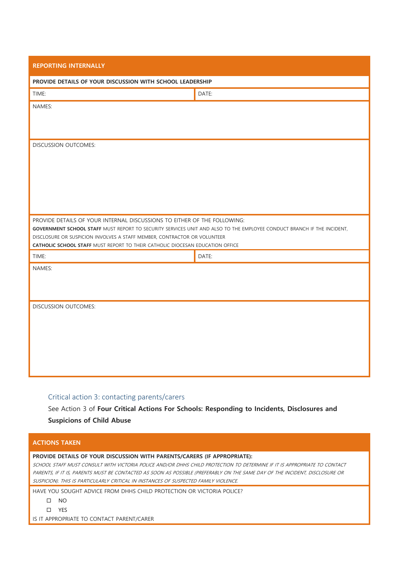| <b>REPORTING INTERNALLY</b>                                                                                                                                                                                                                                                    |       |  |
|--------------------------------------------------------------------------------------------------------------------------------------------------------------------------------------------------------------------------------------------------------------------------------|-------|--|
| PROVIDE DETAILS OF YOUR DISCUSSION WITH SCHOOL LEADERSHIP                                                                                                                                                                                                                      |       |  |
| TIME:                                                                                                                                                                                                                                                                          | DATE: |  |
| NAMES:                                                                                                                                                                                                                                                                         |       |  |
|                                                                                                                                                                                                                                                                                |       |  |
| DISCUSSION OUTCOMES:                                                                                                                                                                                                                                                           |       |  |
|                                                                                                                                                                                                                                                                                |       |  |
|                                                                                                                                                                                                                                                                                |       |  |
|                                                                                                                                                                                                                                                                                |       |  |
|                                                                                                                                                                                                                                                                                |       |  |
|                                                                                                                                                                                                                                                                                |       |  |
| PROVIDE DETAILS OF YOUR INTERNAL DISCUSSIONS TO EITHER OF THE FOLLOWING:<br>GOVERNMENT SCHOOL STAFF MUST REPORT TO SECURITY SERVICES UNIT AND ALSO TO THE EMPLOYEE CONDUCT BRANCH IF THE INCIDENT,<br>DISCLOSURE OR SUSPICION INVOLVES A STAFF MEMBER, CONTRACTOR OR VOLUNTEER |       |  |
| <b>CATHOLIC SCHOOL STAFF MUST REPORT TO THEIR CATHOLIC DIOCESAN EDUCATION OFFICE</b>                                                                                                                                                                                           |       |  |
| TIME:<br>NAMES:                                                                                                                                                                                                                                                                | DATE: |  |
|                                                                                                                                                                                                                                                                                |       |  |
|                                                                                                                                                                                                                                                                                |       |  |
| DISCUSSION OUTCOMES:                                                                                                                                                                                                                                                           |       |  |
|                                                                                                                                                                                                                                                                                |       |  |
|                                                                                                                                                                                                                                                                                |       |  |
|                                                                                                                                                                                                                                                                                |       |  |
|                                                                                                                                                                                                                                                                                |       |  |
|                                                                                                                                                                                                                                                                                |       |  |

#### Critical action 3: contacting parents/carers

See Action 3 of **Four Critical Actions For Schools: Responding to Incidents, Disclosures and Suspicions of Child Abuse**

#### **ACTIONS TAKEN**

# **PROVIDE DETAILS OF YOUR DISCUSSION WITH PARENTS/CARERS (IF APPROPRIATE):**

SCHOOL STAFF MUST CONSULT WITH VICTORIA POLICE AND/OR DHHS CHILD PROTECTION TO DETERMINE IF IT IS APPROPRIATE TO CONTACT PARENTS, IF IT IS, PARENTS MUST BE CONTACTED AS SOON AS POSSIBLE (PREFERABLY ON THE SAME DAY OF THE INCIDENT, DISCLOSURE OR SUSPICION). THIS IS PARTICULARLY CRITICAL IN INSTANCES OF SUSPECTED FAMILY VIOLENCE.

HAVE YOU SOUGHT ADVICE FROM DHHS CHILD PROTECTION OR VICTORIA POLICE?

- $\square$  NO
- YES

IS IT APPROPRIATE TO CONTACT PARENT/CARER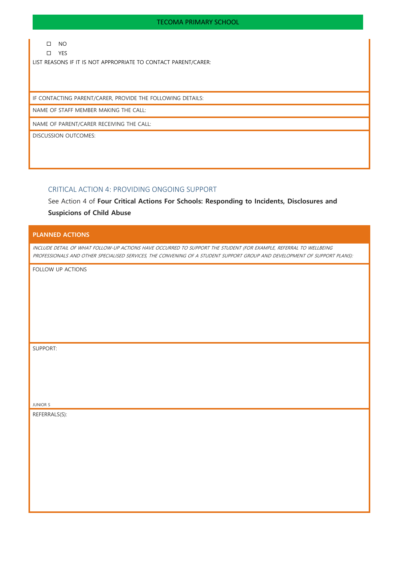$\hfill \Box$  NO

YES

LIST REASONS IF IT IS NOT APPROPRIATE TO CONTACT PARENT/CARER:

IF CONTACTING PARENT/CARER, PROVIDE THE FOLLOWING DETAILS:

NAME OF STAFF MEMBER MAKING THE CALL:

NAME OF PARENT/CARER RECEIVING THE CALL:

DISCUSSION OUTCOMES:

#### CRITICAL ACTION 4: PROVIDING ONGOING SUPPORT

See Action 4 of **Four Critical Actions For Schools: Responding to Incidents, Disclosures and Suspicions of Child Abuse**

#### **PLANNED ACTIONS**

INCLUDE DETAIL OF WHAT FOLLOW-UP ACTIONS HAVE OCCURRED TO SUPPORT THE STUDENT (FOR EXAMPLE, REFERRAL TO WELLBEING PROFESSIONALS AND OTHER SPECIALISED SERVICES, THE CONVENING OF A STUDENT SUPPORT GROUP AND DEVELOPMENT OF SUPPORT PLANS):

FOLLOW UP ACTIONS

JUNIOR S

SUPPORT:

REFERRALS(S):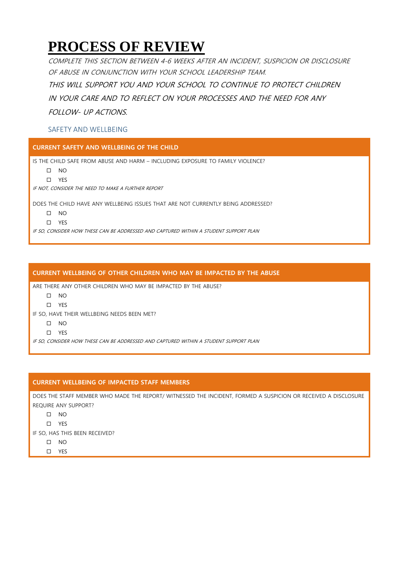# **PROCESS OF REVIEW**

COMPLETE THIS SECTION BETWEEN 4-6 WEEKS AFTER AN INCIDENT, SUSPICION OR DISCLOSURE OF ABUSE IN CONJUNCTION WITH YOUR SCHOOL LEADERSHIP TEAM. THIS WILL SUPPORT YOU AND YOUR SCHOOL TO CONTINUE TO PROTECT CHILDREN IN YOUR CARE AND TO REFLECT ON YOUR PROCESSES AND THE NEED FOR ANY FOLLOW- UP ACTIONS.

# SAFETY AND WELLBEING

**CURRENT SAFETY AND WELLBEING OF THE CHILD** 

IS THE CHILD SAFE FROM ABUSE AND HARM – INCLUDING EXPOSURE TO FAMILY VIOLENCE?

 $\square$  NO

YES

IF NOT, CONSIDER THE NEED TO MAKE A FURTHER REPORT

DOES THE CHILD HAVE ANY WELLBEING ISSUES THAT ARE NOT CURRENTLY BEING ADDRESSED?

 $\square$  NO

YES

IF SO, CONSIDER HOW THESE CAN BE ADDRESSED AND CAPTURED WITHIN A STUDENT SUPPORT PLAN

#### **CURRENT WELLBEING OF OTHER CHILDREN WHO MAY BE IMPACTED BY THE ABUSE**

ARE THERE ANY OTHER CHILDREN WHO MAY BE IMPACTED BY THE ABUSE?

 $\square$  NO

YES

IF SO, HAVE THEIR WELLBEING NEEDS BEEN MET?

 $\Box$  NO

YES

IF SO, CONSIDER HOW THESE CAN BE ADDRESSED AND CAPTURED WITHIN A STUDENT SUPPORT PLAN

#### **CURRENT WELLBEING OF IMPACTED STAFF MEMBERS**

DOES THE STAFF MEMBER WHO MADE THE REPORT/ WITNESSED THE INCIDENT, FORMED A SUSPICION OR RECEIVED A DISCLOSURE REQUIRE ANY SUPPORT?

 $\Box$  NO

YES

IF SO, HAS THIS BEEN RECEIVED?

 $\square$  NO

YES